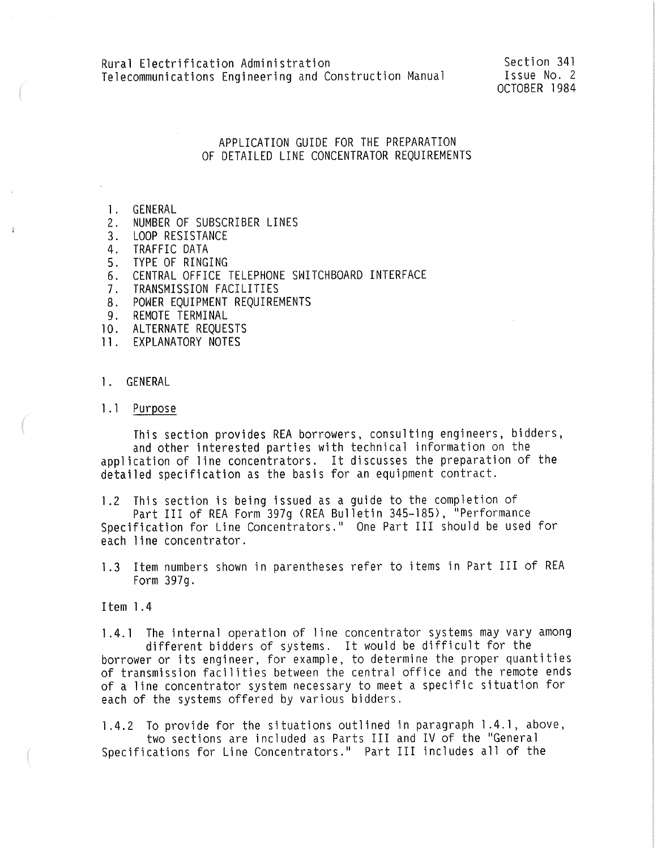Section 341 Issue No. 2 OCTOBER 1984

# APPLICATION GUIDE FOR THE PREPARATION OF DETAILED LINE CONCENTRATOR REQUIREMENTS

- l. GENERAL
- 2. NUMBER OF SUBSCRIBER LINES
- 3. LOOP RESISTANCE
- 4. TRAFFIC DATA
- 5. TYPE OF RINGING
- 6. CENTRAL OFFICE TELEPHONE SWITCHBOARD INTERFACE
- 7. TRANSMISSION FACILITIES
- 8. POWER EQUIPMENT REQUIREMENTS
- 9. REMOTE TERMINAL
- 10. ALTERNATE REQUESTS
- 11. EXPLANATORY NOTES
- 1. GENERAL
- 1.1 Purpose

This section provides REA borrowers, consulting engineers, bidders,<br>and other interested parties with technical information on the application of line concentrators. It discusses the preparation of the detailed specification as the basis for an equipment contract.

l.2 This section is being issued as a guide to the completion of<br>Part III of REA Form 397g (REA Bulletin 345-185), "Performance Specification for Line Concentrators." One Part III should be used for each line concentrator.

1.3 Item numbers shown in parentheses refer to items in Part III of REA Form 397q.

Item l .4

1 .4. 1 The internal operation of line concentrator systems may vary among different bidders of systems. It would be difficult for the borrower or its engineer, for example, to determine the proper quantities of transmission facilities between the central office and the remote ends of a line concentrator system necessary to meet a specific situation for each of the systems offered by various bidders.

l.4.2 To provide for the situations outlined in paragraph l .4. 1, above, two sections are included as Parts III and IV of the 11General Specifications for Line Concentrators." Part III includes all of the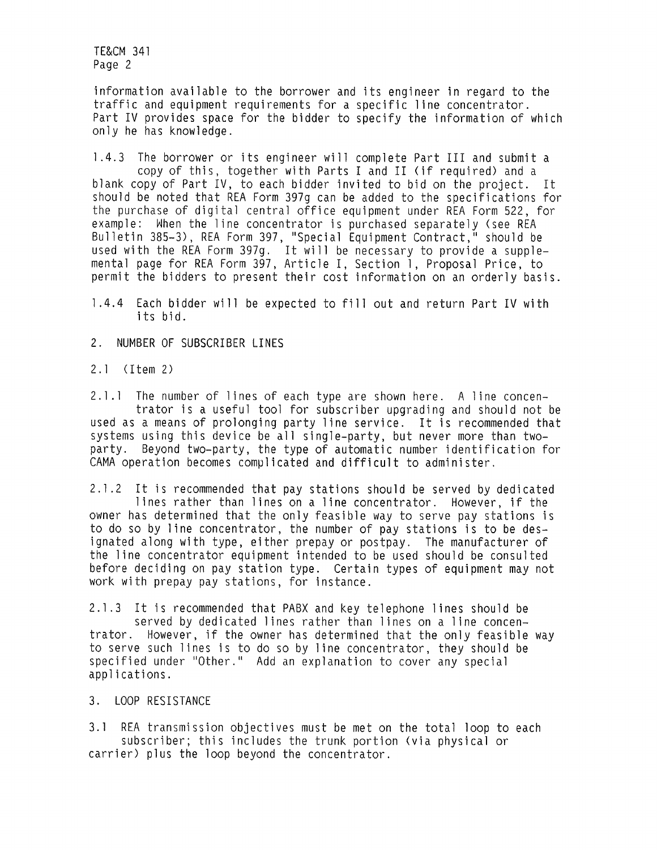information available to the borrower and its engineer in regard to the traffic and equipment requirements for a specific line concentrator. Part IV provides space for the bidder to specify the information of which only he has knowledge.

l .4.3 The borrower or its engineer will complete Part III and submit a copy of this, together with Parts I and II (if required) and a blank copy of Part IV, to each bidder invited to bid on the project. It should be noted that REA Form 397g can be added to the specifications for the purchase of digital central office equipment under REA Form 522, for<br>example: When the line concentrator is purchased separately (see REA Bulletin 385-3), REA Form 397, "Special Equipment Contract," should be used with the REA Form 397g. It will be necessary to provide a supplemental page for REA Form 397, Article I, Section 1, Proposal Price, to permit the bidders to present their cost information on an orderly basis.

l .4.4 Each bidder will be expected to fill out and return Part IV with its bid.

2. NUMBER OF SUBSCRIBER LINES

2.1 <Item 2)

2.1.1 The number of lines of each type are shown here. A line concen-<br>trator is a useful tool for subscriber upgrading and should not be used as a means of prolonging party line service. It is recommended that systems using this device be all single-party, but never more than twoparty. Beyond two-party, the type of automatic number identification for CAMA operation becomes complicated and difficult to administer.

2. l .2 It is recommended that pay stations should be served by dedicated lines rather than lines on a line concentrator. However, if the owner has determined that the only feasible way to serve pay stations is to do so by line concentrator, the number of pay stations is to be designated along with type, either prepay or postpay. The manufacturer of the line concentrator equipment intended to be used should be consulted before deciding on pay station type. Certain types of equipment may not work with prepay pay stations, for instance.

2. 1 .3 It is recommended that PABX and key telephone lines should be served by dedicated lines rather than lines on a line concen trator. However, if the owner has determined that the only feasible way to serve such lines is to do so by line concentrator, they should be specified under "Other." Add an explanation to cover any special applications.

3. LOOP RESISTANCE

3.1 REA transmission objectives must be met on the total loop to each subscriber; this includes the trunk portion (via physical or carrier) plus the loop beyond the concentrator.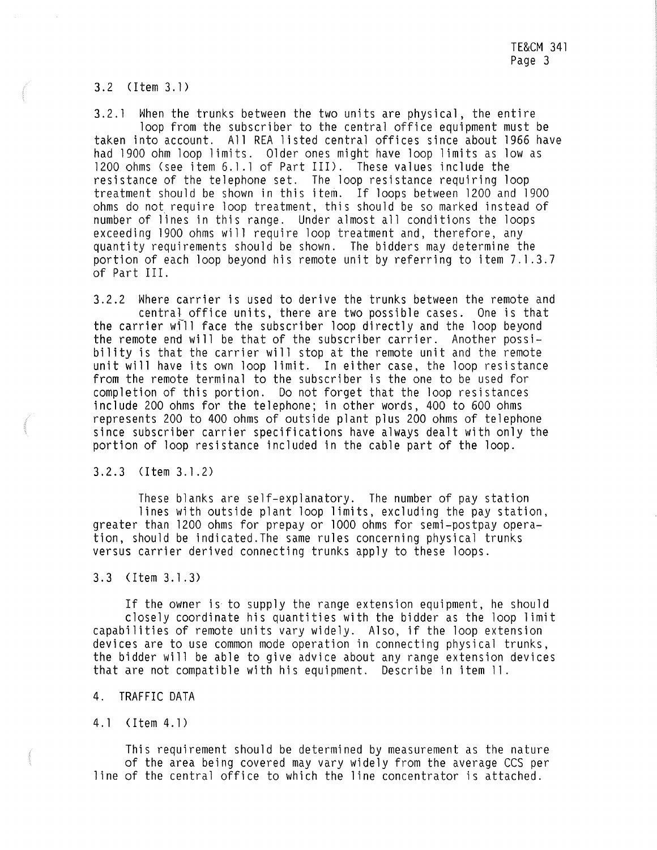3.2 (I tem 3.1)

3.2. l When the trunks between the two units are physical, the entire loop from the subscriber to the central office equipment must be taken into account. All REA listed central offices since about 1966 have had 1900 ohm loop limits. Older ones might have loop limits as low as 1200 ohms (see item 6.1.1 of Part III). These values include the resistance of the telephone set. The loop resistance requiring loop treatment should be shown in this item. If loops between 1200 and 1900 ohms do not require loop treatment, this should be so marked instead of number of lines in this range. Under almost all conditions the loops exceeding 1900 ohms will require loop treatment and, therefore, any quantity requirements should be shown. The bidders may determine the portion of each loop beyond his remote unit by referring to item 7.1.3.7 of Part III.

3.2.2 Where carrier is used to derive the trunks between the remote and central office units, there are two possible cases. One is that the carrier wfll face the subscriber loop directly and the loop beyond the remote end will be that of the subscriber carrier. Another possibility is that the carrier will stop at the remote unit and the remote unit will have its own loop limit. In either case, the loop resistance from the remote terminal to the subscriber is the one to be used for completion of this portion. Do not forget that the loop resistances include 200 ohms for the telephone; in other words, 400 to 600 ohms represents 200 to 400 ohms of outside plant plus 200 ohms of telephone since subscriber carrier specifications have always dealt with only the portion of loop resistance included in the cable part of the loop.

3. 2. 3 (Item 3. 1. 2)

These blanks are self-explanatory. The number of pay station lines with outside plant loop limits, excluding the pay station, greater than 1200 ohms for prepay or 1000 ohms for semi-postpay operation, should be indicated.The same rules concerning physical trunks versus carrier derived connecting trunks apply to these loops.

### 3.3 (I tem 3.1.3)

If the owner is to supply the range extension equipment, he should closely coordinate his quantities with the bidder as the loop limit capabilities of remote units vary widely. Also, if the loop extension devices are to use common mode operation in connecting physical trunks, the bidder will be able to give advice about any range extension devices that are not compatible with his equipment. Describe in item 11.

### 4. TRAFFIC DATA

4.1 (Item 4.1)

This requirement should be determined by measurement as the nature of the area being covered may vary widely from the average CCS per line of the central office to which the line concentrator is attached.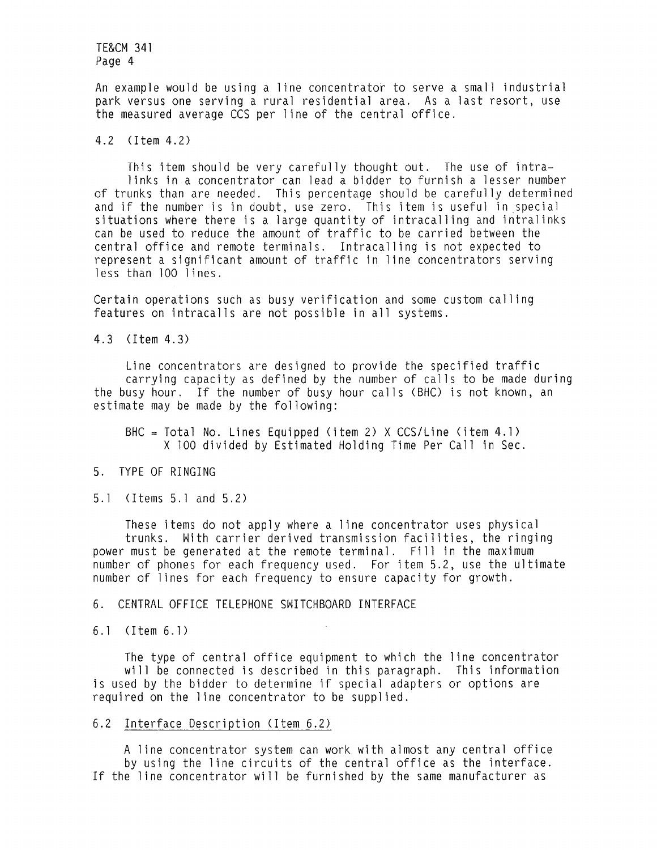An example would be using a line concentrator to serve a small industrial park versus one serving a rural residential area. As a last resort, use the measured average CCS per line of the central office.

### 4.2 <Item 4.2)

This item should be very carefully thought out. The use of intralinks in a concentrator can lead a bidder to furnish a lesser number of trunks than are needed. This percentage should be carefully determined and if the number is in doubt, use zero. This item is useful in special situations where there is a large quantity of intracalling and intralinks can be used to reduce the amount of traffic to be carried between the central office and remote terminals. Intracalling is not expected to represent a significant amount of traffic in line concentrators serving less than 100 lines.

Certain operations such as busy verification and some custom calling features on intracalls are not possible in all systems.

4.3 (I tem 4.3)

Line concentrators are designed to provide the specified traffic carrying capacity as defined by the number of calls to be made during the busy hour. If the number of busy hour calls (BHC) is not known, an estimate may be made by the following:

 $BHC = Total No. Lines Equipped (item 2) X CCS/Line (item 4.1)$ X 100 divided by Estimated Holding Time Per Call in Sec.

### 5. TYPE OF RINGING

5.1 (I tems 5.1 and 5.2)

These items do not apply where a line concentrator uses physical trunks. With carrier derived transmission facilities, the ringing power must be generated at the remote terminal. Fill in the maximum number of phones for each frequency used. For item 5.2, use the ultimate number of lines for each frequency to ensure capacity for growth.

### 6. CENTRAL OFFICE TELEPHONE SWITCHBOARD INTERFACE

6.1 <Item 6.1)

The type of central office equipment to which the line concentrator will be connected is described in this paragraph. This information is used by the bidder to determine if special adapters or options are required on the line concentrator to be supplied.

# 6.2 Interface Description (Item 6.2)

A line concentrator system can work with almost any central office by using the line circuits of the central office as the interface. If the line concentrator will be furnished by the same manufacturer as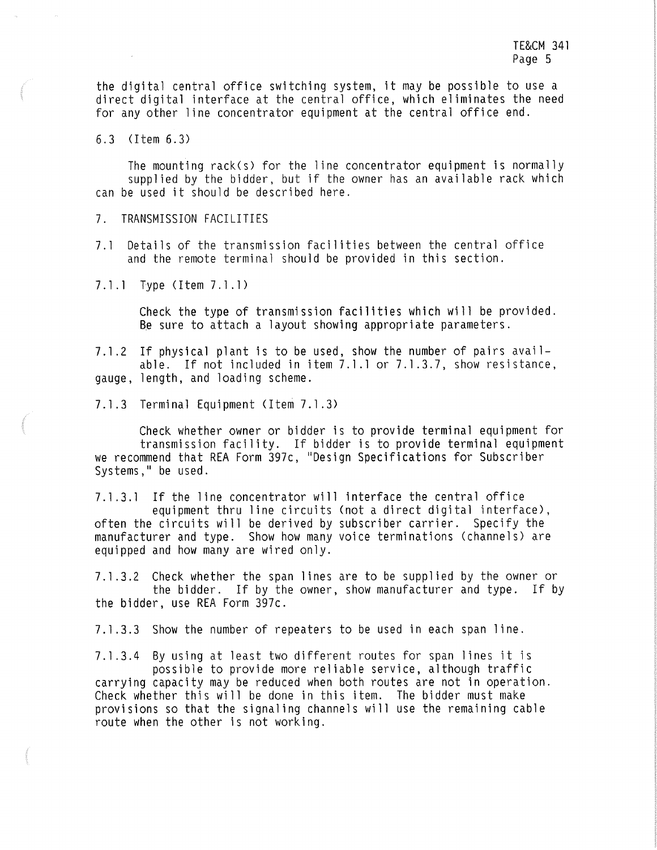the digital central office switching system, it may be possible to use a direct digital interface at the central office, which eliminates the need for any other line concentrator equipment at the central office end.

6. 3 < Item 6. 3)

The mounting rack(s) for the line concentrator equipment is normally supplied by the bidder, but if the owner has an available rack which can be used it should be described here.

- 7. TRANSMISSION FACILITIES
- 7. 1 Details of the transmission facilities between the central office and the remote terminal should be provided in this section.
- 7.1.1 Type (Item 7.1.1)

Check the type of transmission facilities which will be provided. Be sure to attach a layout showing appropriate parameters.

7.1 .2 If physical plant is to be used, show the number of pairs available. If not included in item 7.1.1 or 7.1.3.7, show resistance, gauge, length, and loading scheme.

7. 1 .3 Terminal Equipment (Item 7. l .3)

Check whether owner or bidder is to provide terminal equipment for transmission facility. If bidder is to provide terminal equipment we recommend that REA Form 397c, "Design Specifications for Subscriber Systems," be used.

7.1.3.1 If the line concentrator will interface the central office equipment thru line circuits (not a direct digital interface), often the circuits will be derived by subscriber carrier. Specify the manufacturer and type. Show how many voice terminations (channels) are equipped and how many are wired only.

7. l .3.2 Check whether the span lines are to be supplied by the owner or the bidder. If by the owner, show manufacturer and type. If by the bidder, use REA Form 397c.

7. l .3.3 Show the number of repeaters to be used in each span line.

7. l .3.4 By using at least two different routes for span lines it is possible to provide more reliable service, although traffic carrying capacity may be reduced when both routes are not in operation. Check whether this will be done in this item. The bidder must make provisions so that the signaling channels will use the remaining cable route when the other is not working.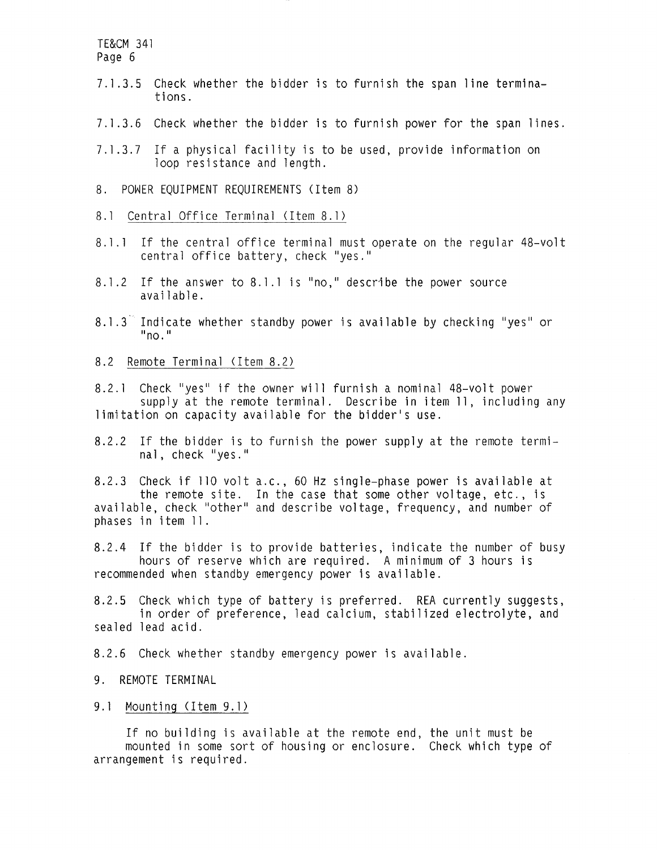- 7.1.3.5 Check whether the bidder is to furnish the span line terminations.
- 7. 1 .3.6 Check whether the bidder is to furnish power for the span lines.
- 7.1 .3.7 If a physical facility is to be used, provide information on loop resistance and length.
- 8. POWER EQUIPMENT REQUIREMENTS (Item 8)
- 8.1 Central Office Terminal (Item 8.1)
- 8.1.1 If the central office terminal must operate on the regular 48-volt central office battery, check "yes."
- 8.1.2 If the answer to 8.1.1 is "no," describe the power source available.
- $8.1.3$  Indicate whether standby power is available by checking "yes" or  $\mathsf{u}_{\mathsf{no}}$ .  $\mathsf{u}_{\mathsf{no}}$
- 8.2 Remote Terminal (Item 8.2)

8.2.1 Check "yes" if the owner will furnish a nominal 48-volt power supply at the remote terminal. Describe in item 11, including any limitation on capacity available for the bidder's use.

8.2.2 If the bidder is to furnish the power supply at the remote terminal, check "yes."

8.2.3 Check if 110 volt a.c., 60 Hz single-phase power is available at the remote site. In the case that some other voltage, etc., is available, check "other" and describe voltage, frequency, and number of phases in item 11 .

8.2.4 If the bidder is to provide batteries, indicate the number of busy hours of reserve which are required. A minimum of 3 hours is recommended when standby emergency power is available.

8.2.5 Check which type of battery is preferred. REA currently suggests, in order of preference, lead calcium, stabilized electrolyte, and sealed lead acid.

8.2.6 Check whether standby emergency power is available.

- 9. REMOTE TERMINAL
- 9.1 Mounting (Item 9. 1)

If no building is available at the remote end, the unit must be mounted in some sort of housing or enclosure. Check which type of arrangement is required.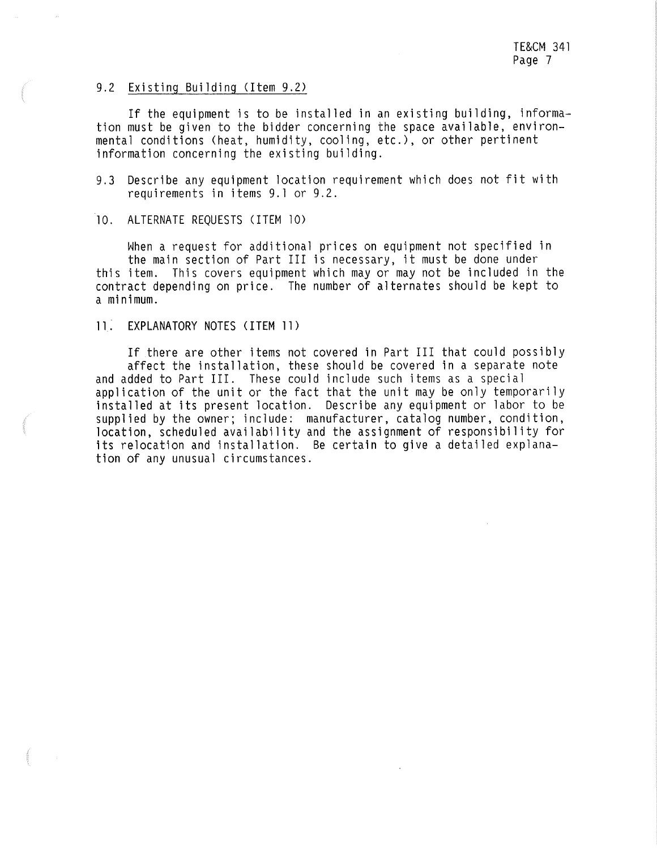#### 9.2 Existing Building (Item 9.2)

If the equipment is to be installed in an existing building, informa- tion must be given to the bidder concerning the space available, environmental conditions (heat, humidity, cooling, etc.), or other pertinent information concerning the existing building.

9.3 Describe any equipment location requirement which does not fit with requirements in items 9. 1 or 9.2.

10. ALTERNATE REQUESTS (ITEM 10)

When a request for additional prices on equipment not specified in<br>the main section of Part III is necessary, it must be done under<br>this item. This covers equipment which may or may not be included in the contract depending on price. The number of alternates should be kept to a minimum.

# 11: EXPLANATORY NOTES (ITEM 11)

If there are other items not covered in Part III that could possibly affect the installation, these should be covered in a separate note and added to Part III. These could include such items as a special application of the unit or the fact that the unit may be only temporarily installed at its present location. Describe any equipment or labor to be supplied by the owner; include: manufacturer, catalog number, condition, location, scheduled availability and the assignment of responsibility for its relocation and installation. Be certain to give a detailed explanation of any unusual circumstances.